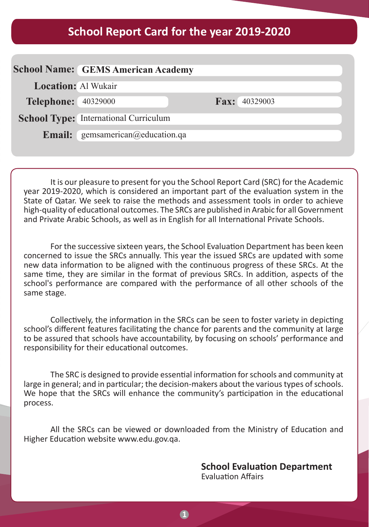# **2019-2020 School Report Card for the year 2019-2020**

|                            | <b>School Name: GEMS American Academy</b>    |                      |
|----------------------------|----------------------------------------------|----------------------|
| <b>Location: Al Wukair</b> |                                              |                      |
| <b>Telephone:</b> 40329000 |                                              | <b>Fax:</b> 40329003 |
|                            | <b>School Type:</b> International Curriculum |                      |
|                            | <b>Email:</b> gemsamerican@education.qa      |                      |
|                            |                                              |                      |

It is our pleasure to present for you the School Report Card (SRC) for the Academic year 2019-2020, which is considered an important part of the evaluation system in the State of Qatar. We seek to raise the methods and assessment tools in order to achieve high-quality of educational outcomes. The SRCs are published in Arabic for all Government and Private Arabic Schools, as well as in English for all International Private Schools.

For the successive sixteen years, the School Evaluation Department has been keen concerned to issue the SRCs annually. This year the issued SRCs are updated with some new data information to be aligned with the continuous progress of these SRCs. At the same time, they are similar in the format of previous SRCs. In addition, aspects of the school's performance are compared with the performance of all other schools of the same stage.

Collectively, the information in the SRCs can be seen to foster variety in depicting school's different features facilitating the chance for parents and the community at large to be assured that schools have accountability, by focusing on schools' performance and responsibility for their educational outcomes.

The SRC is designed to provide essential information for schools and community at large in general; and in particular; the decision-makers about the various types of schools. We hope that the SRCs will enhance the community's participation in the educational .process

All the SRCs can be viewed or downloaded from the Ministry of Education and Higher Education website www.edu.gov.ga.

> **School Evaluation Department Evaluation Affairs**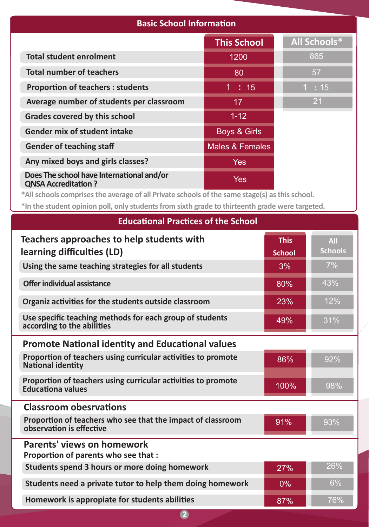## **Basic School Information**

|                                                                         | <b>This School</b>         | <b>All Schools*</b> |
|-------------------------------------------------------------------------|----------------------------|---------------------|
| <b>Total student enrolment</b>                                          | 1200                       | 865                 |
| <b>Total number of teachers</b>                                         | 80                         | 57                  |
| <b>Proportion of teachers: students</b>                                 | 1:15                       | 1:15                |
| Average number of students per classroom                                | 17                         | 21                  |
| Grades covered by this school                                           | $1 - 12$                   |                     |
| <b>Gender mix of student intake</b>                                     | <b>Boys &amp; Girls</b>    |                     |
| <b>Gender of teaching staff</b>                                         | <b>Males &amp; Females</b> |                     |
| Any mixed boys and girls classes?                                       | <b>Yes</b>                 |                     |
| Does The school have International and/or<br><b>QNSA Accreditation?</b> | Yes                        |                     |

\*All schools comprises the average of all Private schools of the same stage(s) as this school.

\*In the student opinion poll, only students from sixth grade to thirteenth grade were targeted.

| Equeational Practices of the School                                                       |                              |                              |
|-------------------------------------------------------------------------------------------|------------------------------|------------------------------|
| Teachers approaches to help students with<br>learning difficulties (LD)                   | <b>This</b><br><b>School</b> | <b>All</b><br><b>Schools</b> |
| Using the same teaching strategies for all students                                       | 3%                           | 7%                           |
| Offer individual assistance                                                               | 80%                          | 43%                          |
| Organiz activities for the students outside classroom                                     | 23%                          | 12%                          |
| Use specific teaching methods for each group of students<br>according to the abilities    | 49%                          | 31%                          |
| <b>Promote National identity and Educational values</b>                                   |                              |                              |
| Proportion of teachers using curricular activities to promote<br><b>National identity</b> | 86%                          | 92%                          |
| Proportion of teachers using curricular activities to promote<br><b>Educationa values</b> | 100%                         | 98%                          |
| <b>Classroom obesrvations</b>                                                             |                              |                              |
| Proportion of teachers who see that the impact of classroom<br>observation is effective   | 91%                          | 93%                          |
| Parents' views on homework<br>Proportion of parents who see that :                        |                              |                              |
| Students spend 3 hours or more doing homework                                             | 27%                          | 26%                          |
| Students need a private tutor to help them doing homework                                 | $0\%$                        | 6%                           |
| Homework is appropiate for students abilities                                             | 87%                          | 76%                          |

#### **Educational Practices of the School**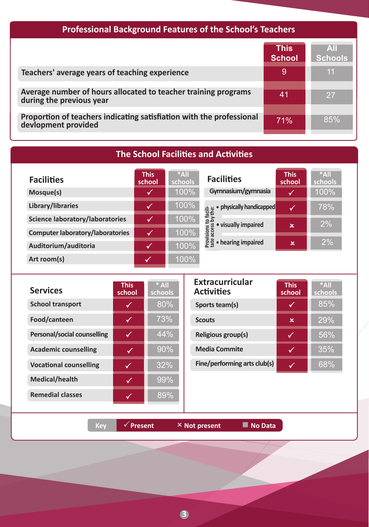# Professional Background Features of the School's Teachers

|                                                                                             | <b>This</b><br><b>School</b> | AIL<br><b>Schools</b> |
|---------------------------------------------------------------------------------------------|------------------------------|-----------------------|
| Teachers' average years of teaching experience                                              | 9                            | ี 11                  |
| Average number of hours allocated to teacher training programs<br>during the previous year  | 41                           | 27                    |
| Proportion of teachers indicating satisfiation with the professional<br>deviopment provided | 71%                          | 85%                   |

## **The School Facilities and Activities**

| <b>Facilities</b>                       | <b>This</b><br>school | $*$ All<br>schools | <b>Facilities</b>                                               | <b>This</b><br>school | $*$ All<br>schools |
|-----------------------------------------|-----------------------|--------------------|-----------------------------------------------------------------|-----------------------|--------------------|
| Mosque(s)                               | ✓                     | 100%               | Gymnasium/gymnasia                                              | M                     | 100%               |
| Library/libraries                       | √                     | 100%               | physically handicapped                                          | ✓                     | 78%                |
| <b>Science laboratory/laboratories</b>  | √                     | 100%               | to facili-<br>s by the:<br>visually impaired<br>SS <sub>3</sub> | $\mathbf x$           | 2%                 |
| <b>Computer laboratory/laboratories</b> | Μ                     | 100%               | Provisions<br>tate acces                                        |                       |                    |
| Auditorium/auditoria                    | V                     | 100%               | • hearing impaired                                              | ×                     | 2%                 |
| Art room(s)                             |                       | 100%               |                                                                 |                       |                    |

| <b>Services</b>               | <b>This</b><br>school | $*$ All<br>schools |
|-------------------------------|-----------------------|--------------------|
| <b>School transport</b>       |                       | 80%                |
| Food/canteen                  |                       | 73%                |
| Personal/social counselling   |                       | 44%                |
| <b>Academic counselling</b>   |                       | 90%                |
| <b>Vocational counselling</b> |                       | 32%                |
| <b>Medical/health</b>         |                       | 99%                |
| <b>Remedial classes</b>       |                       | 89%                |

| <b>Extracurricular</b><br><b>Activities</b> | <b>This</b><br>school | $*$ All<br>schools |
|---------------------------------------------|-----------------------|--------------------|
| Sports team(s)                              |                       | 85%                |
| <b>Scouts</b>                               | x                     | 29%                |
| Religious group(s)                          |                       | 56%                |
| <b>Media Commite</b>                        |                       | 35%                |
| Fine/performing arts club(s)                |                       | 68%                |

**Data Notify Apple Strategier Apple Strategier Apple Strategier Apple Strategier Apple Strategier Apple Strategier Apple Strategier Apple Strategier Apple Strategier Apple Strategier Apple Strategier Apple Strategier Apple** 

**3**3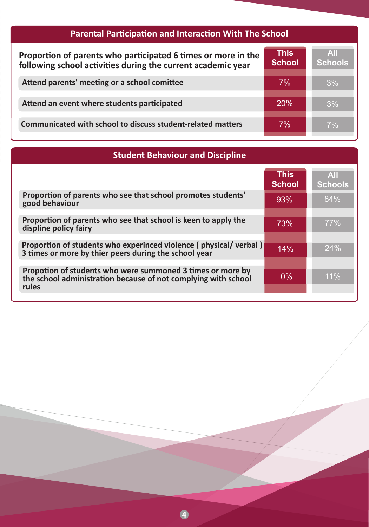| <b>Parental Participation and Interaction With The School</b>                                                                 |                              |                              |  |
|-------------------------------------------------------------------------------------------------------------------------------|------------------------------|------------------------------|--|
| Proportion of parents who participated 6 times or more in the<br>following school activities during the current academic year | <b>This</b><br><b>School</b> | <b>AII</b><br><b>Schools</b> |  |
| Attend parents' meeting or a school comittee                                                                                  | 7%                           | 3%                           |  |
| Attend an event where students participated                                                                                   | 20%                          | 3%                           |  |
| Communicated with school to discuss student-related matters                                                                   | 7%                           | 7%                           |  |

| <b>Student Behaviour and Discipline</b>                                                                                               |                              |                              |  |
|---------------------------------------------------------------------------------------------------------------------------------------|------------------------------|------------------------------|--|
|                                                                                                                                       | <b>This</b><br><b>School</b> | <b>All</b><br><b>Schools</b> |  |
| Proportion of parents who see that school promotes students'<br>good behaviour                                                        | 93%                          | 84%                          |  |
| Proportion of parents who see that school is keen to apply the<br>displine policy fairy                                               | 73%                          | 77%                          |  |
| Proportion of students who experinced violence (physical/verbal)<br>3 times or more by thier peers during the school year             | 14%                          | 24%                          |  |
| Propotion of students who were summoned 3 times or more by<br>the school administration because of not complying with school<br>rules | $0\%$                        | 11%                          |  |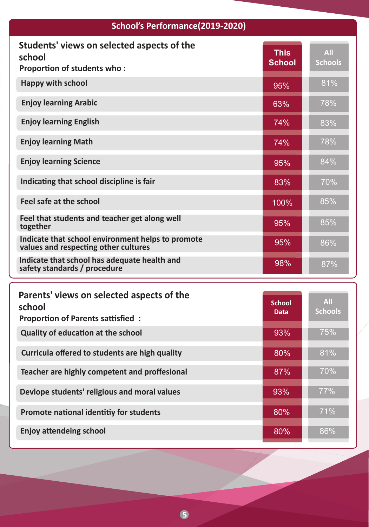#### **School's Performance (2019-2020) Students' views on selected aspects of the Proportion of students who: Schools** 81% **This School**

**All**

78%

83%

78%

84%

70%

85%

86%

85%

87%

95%

63%

74%

74%

95%

83%

100%

95%

95%

98%

**Happy** with school **Enjoy learning Arabic** 

**Enjoy learning English** 

 **school**

**Enjoy learning Math** 

**Enjoy learning Science** 

**Indicating that school discipline is fair** 

Feel that students and teacher get along well **together**

**Indicate that school environment helps to promote** values and respecting other cultures

**Indicate that school has adequate health and** safety standards / procedure

| Parents' views on selected aspects of the<br>school<br><b>Proportion of Parents sattisfied:</b> | <b>School</b><br><b>Data</b> | <b>All</b><br><b>Schools</b> |
|-------------------------------------------------------------------------------------------------|------------------------------|------------------------------|
| <b>Quality of education at the school</b>                                                       | 93%                          | 75%                          |
| Curricula offered to students are high quality                                                  | 80%                          | 81%                          |
| Teacher are highly competent and proffesional                                                   | 87%                          | 70%                          |
| Devlope students' religious and moral values                                                    | 93%                          | 77%                          |
| Promote national identitiy for students                                                         | 80%                          | 71%                          |
| <b>Enjoy attendeing school</b>                                                                  | 80%                          | 86%                          |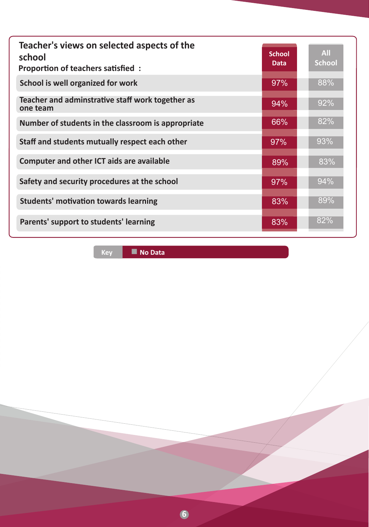| Teacher's views on selected aspects of the<br>school<br>Proportion of teachers satisfied: | <b>School</b><br><b>Data</b> | <b>All</b><br><b>School</b> |
|-------------------------------------------------------------------------------------------|------------------------------|-----------------------------|
| School is well organized for work                                                         | 97%                          | 88%                         |
| Teacher and adminstrative staff work together as<br>one team                              | 94%                          | 92%                         |
| Number of students in the classroom is appropriate                                        | 66%                          | 82%                         |
| Staff and students mutually respect each other                                            | 97%                          | 93%                         |
| <b>Computer and other ICT aids are available</b>                                          | 89%                          | 83%                         |
| Safety and security procedures at the school                                              | 97%                          | 94%                         |
| <b>Students' motivation towards learning</b>                                              | 83%                          | 89%                         |
| Parents' support to students' learning                                                    | 83%                          | 82%                         |

**Data No** Data

**6**6